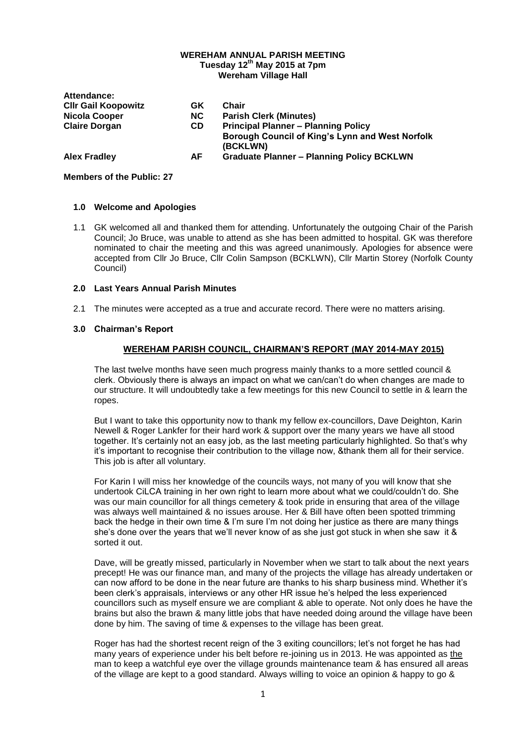#### **WEREHAM ANNUAL PARISH MEETING Tuesday 12th May 2015 at 7pm**

**Wereham Village Hall**

| Attendance:                |           |                                                             |
|----------------------------|-----------|-------------------------------------------------------------|
| <b>CIIr Gail Koopowitz</b> | GK        | Chair                                                       |
| Nicola Cooper              | NC.       | <b>Parish Clerk (Minutes)</b>                               |
| <b>Claire Dorgan</b>       | <b>CD</b> | <b>Principal Planner - Planning Policy</b>                  |
|                            |           | Borough Council of King's Lynn and West Norfolk<br>(BCKLWN) |
| <b>Alex Fradley</b>        | AF        | <b>Graduate Planner - Planning Policy BCKLWN</b>            |

### **Members of the Public: 27**

### **1.0 Welcome and Apologies**

1.1 GK welcomed all and thanked them for attending. Unfortunately the outgoing Chair of the Parish Council; Jo Bruce, was unable to attend as she has been admitted to hospital. GK was therefore nominated to chair the meeting and this was agreed unanimously. Apologies for absence were accepted from Cllr Jo Bruce, Cllr Colin Sampson (BCKLWN), Cllr Martin Storey (Norfolk County Council)

### **2.0 Last Years Annual Parish Minutes**

2.1 The minutes were accepted as a true and accurate record. There were no matters arising.

# **3.0 Chairman's Report**

### **WEREHAM PARISH COUNCIL, CHAIRMAN'S REPORT (MAY 2014-MAY 2015)**

The last twelve months have seen much progress mainly thanks to a more settled council & clerk. Obviously there is always an impact on what we can/can't do when changes are made to our structure. It will undoubtedly take a few meetings for this new Council to settle in & learn the ropes.

But I want to take this opportunity now to thank my fellow ex-councillors, Dave Deighton, Karin Newell & Roger Lankfer for their hard work & support over the many years we have all stood together. It's certainly not an easy job, as the last meeting particularly highlighted. So that's why it's important to recognise their contribution to the village now, &thank them all for their service. This job is after all voluntary.

For Karin I will miss her knowledge of the councils ways, not many of you will know that she undertook CiLCA training in her own right to learn more about what we could/couldn't do. She was our main councillor for all things cemetery & took pride in ensuring that area of the village was always well maintained & no issues arouse. Her & Bill have often been spotted trimming back the hedge in their own time & I'm sure I'm not doing her justice as there are many things she's done over the years that we'll never know of as she just got stuck in when she saw it & sorted it out.

Dave, will be greatly missed, particularly in November when we start to talk about the next years precept! He was our finance man, and many of the projects the village has already undertaken or can now afford to be done in the near future are thanks to his sharp business mind. Whether it's been clerk's appraisals, interviews or any other HR issue he's helped the less experienced councillors such as myself ensure we are compliant & able to operate. Not only does he have the brains but also the brawn & many little jobs that have needed doing around the village have been done by him. The saving of time & expenses to the village has been great.

Roger has had the shortest recent reign of the 3 exiting councillors; let's not forget he has had many years of experience under his belt before re-joining us in 2013. He was appointed as the man to keep a watchful eye over the village grounds maintenance team & has ensured all areas of the village are kept to a good standard. Always willing to voice an opinion & happy to go &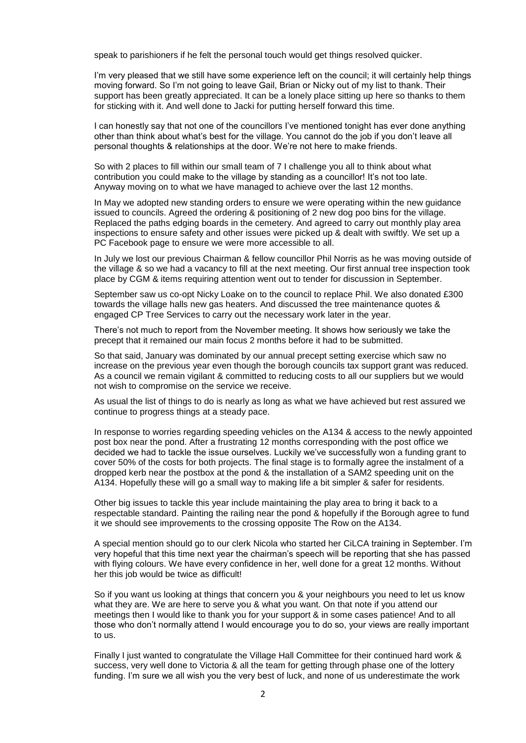speak to parishioners if he felt the personal touch would get things resolved quicker.

I'm very pleased that we still have some experience left on the council; it will certainly help things moving forward. So I'm not going to leave Gail, Brian or Nicky out of my list to thank. Their support has been greatly appreciated. It can be a lonely place sitting up here so thanks to them for sticking with it. And well done to Jacki for putting herself forward this time.

I can honestly say that not one of the councillors I've mentioned tonight has ever done anything other than think about what's best for the village. You cannot do the job if you don't leave all personal thoughts & relationships at the door. We're not here to make friends.

So with 2 places to fill within our small team of 7 I challenge you all to think about what contribution you could make to the village by standing as a councillor! It's not too late. Anyway moving on to what we have managed to achieve over the last 12 months.

In May we adopted new standing orders to ensure we were operating within the new guidance issued to councils. Agreed the ordering & positioning of 2 new dog poo bins for the village. Replaced the paths edging boards in the cemetery. And agreed to carry out monthly play area inspections to ensure safety and other issues were picked up & dealt with swiftly. We set up a PC Facebook page to ensure we were more accessible to all.

In July we lost our previous Chairman & fellow councillor Phil Norris as he was moving outside of the village & so we had a vacancy to fill at the next meeting. Our first annual tree inspection took place by CGM & items requiring attention went out to tender for discussion in September.

September saw us co-opt Nicky Loake on to the council to replace Phil. We also donated £300 towards the village halls new gas heaters. And discussed the tree maintenance quotes & engaged CP Tree Services to carry out the necessary work later in the year.

There's not much to report from the November meeting. It shows how seriously we take the precept that it remained our main focus 2 months before it had to be submitted.

So that said, January was dominated by our annual precept setting exercise which saw no increase on the previous year even though the borough councils tax support grant was reduced. As a council we remain vigilant & committed to reducing costs to all our suppliers but we would not wish to compromise on the service we receive.

As usual the list of things to do is nearly as long as what we have achieved but rest assured we continue to progress things at a steady pace.

In response to worries regarding speeding vehicles on the A134 & access to the newly appointed post box near the pond. After a frustrating 12 months corresponding with the post office we decided we had to tackle the issue ourselves. Luckily we've successfully won a funding grant to cover 50% of the costs for both projects. The final stage is to formally agree the instalment of a dropped kerb near the postbox at the pond & the installation of a SAM2 speeding unit on the A134. Hopefully these will go a small way to making life a bit simpler & safer for residents.

Other big issues to tackle this year include maintaining the play area to bring it back to a respectable standard. Painting the railing near the pond & hopefully if the Borough agree to fund it we should see improvements to the crossing opposite The Row on the A134.

A special mention should go to our clerk Nicola who started her CiLCA training in September. I'm very hopeful that this time next year the chairman's speech will be reporting that she has passed with flying colours. We have every confidence in her, well done for a great 12 months. Without her this job would be twice as difficult!

So if you want us looking at things that concern you & your neighbours you need to let us know what they are. We are here to serve you & what you want. On that note if you attend our meetings then I would like to thank you for your support & in some cases patience! And to all those who don't normally attend I would encourage you to do so, your views are really important to us.

Finally I just wanted to congratulate the Village Hall Committee for their continued hard work & success, very well done to Victoria & all the team for getting through phase one of the lottery funding. I'm sure we all wish you the very best of luck, and none of us underestimate the work